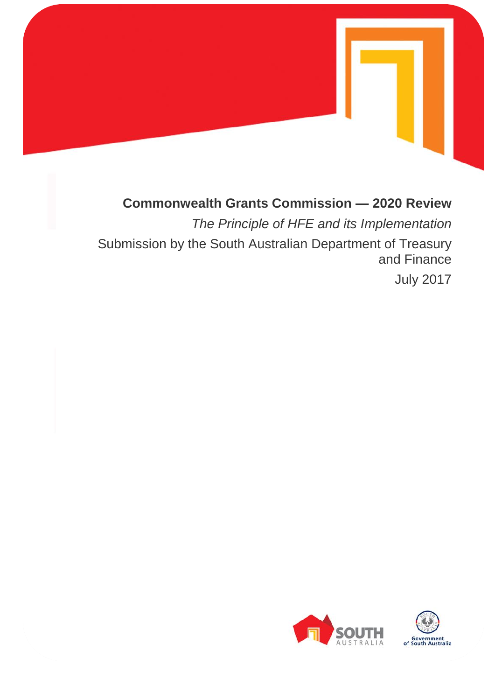

# **Commonwealth Grants Commission — 2020 Review**

*The Principle of HFE and its Implementation* Submission by the South Australian Department of Treasury and Finance

July 2017

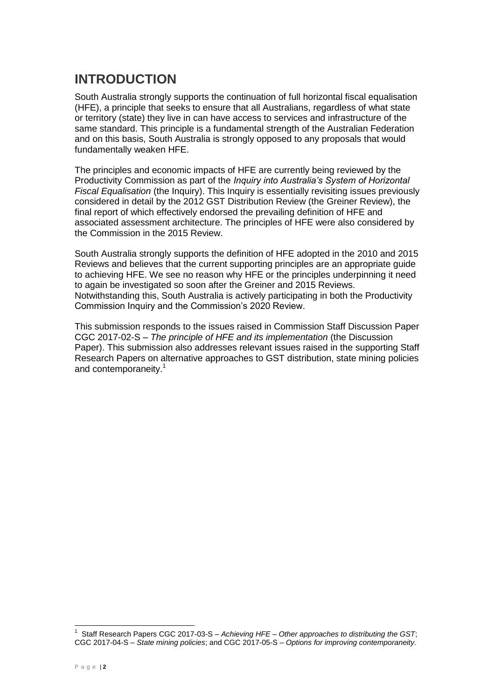# **INTRODUCTION**

South Australia strongly supports the continuation of full horizontal fiscal equalisation (HFE), a principle that seeks to ensure that all Australians, regardless of what state or territory (state) they live in can have access to services and infrastructure of the same standard. This principle is a fundamental strength of the Australian Federation and on this basis, South Australia is strongly opposed to any proposals that would fundamentally weaken HFE.

The principles and economic impacts of HFE are currently being reviewed by the Productivity Commission as part of the *Inquiry into Australia's System of Horizontal Fiscal Equalisation* (the Inquiry). This Inquiry is essentially revisiting issues previously considered in detail by the 2012 GST Distribution Review (the Greiner Review), the final report of which effectively endorsed the prevailing definition of HFE and associated assessment architecture. The principles of HFE were also considered by the Commission in the 2015 Review.

South Australia strongly supports the definition of HFE adopted in the 2010 and 2015 Reviews and believes that the current supporting principles are an appropriate guide to achieving HFE. We see no reason why HFE or the principles underpinning it need to again be investigated so soon after the Greiner and 2015 Reviews. Notwithstanding this, South Australia is actively participating in both the Productivity Commission Inquiry and the Commission's 2020 Review.

This submission responds to the issues raised in Commission Staff Discussion Paper CGC 2017-02-S – *The principle of HFE and its implementation* (the Discussion Paper). This submission also addresses relevant issues raised in the supporting Staff Research Papers on alternative approaches to GST distribution, state mining policies and contemporaneity.<sup>1</sup>

 $\overline{a}$ 

<sup>1</sup> Staff Research Papers CGC 2017-03-S – *Achieving HFE – Other approaches to distributing the GST*; CGC 2017-04-S – *State mining policies*; and CGC 2017-05-S – *Options for improving contemporaneity.*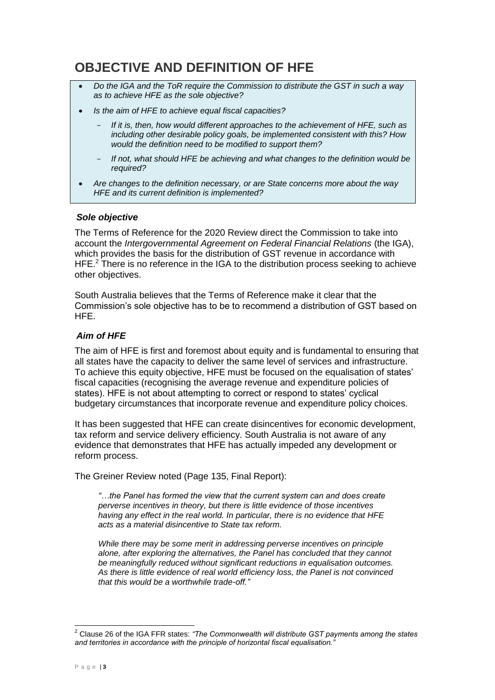# **OBJECTIVE AND DEFINITION OF HFE**

- *Do the IGA and the ToR require the Commission to distribute the GST in such a way as to achieve HFE as the sole objective?*
- *Is the aim of HFE to achieve equal fiscal capacities?*
	- If it is, then, how would different approaches to the achievement of HFE, such as *including other desirable policy goals, be implemented consistent with this? How would the definition need to be modified to support them?*
	- *If not, what should HFE be achieving and what changes to the definition would be required?*
- *Are changes to the definition necessary, or are State concerns more about the way HFE and its current definition is implemented?*

#### *Sole objective*

The Terms of Reference for the 2020 Review direct the Commission to take into account the *Intergovernmental Agreement on Federal Financial Relations* (the IGA), which provides the basis for the distribution of GST revenue in accordance with HFE.<sup>2</sup> There is no reference in the IGA to the distribution process seeking to achieve other objectives.

South Australia believes that the Terms of Reference make it clear that the Commission's sole objective has to be to recommend a distribution of GST based on HFE.

### *Aim of HFE*

The aim of HFE is first and foremost about equity and is fundamental to ensuring that all states have the capacity to deliver the same level of services and infrastructure. To achieve this equity objective, HFE must be focused on the equalisation of states' fiscal capacities (recognising the average revenue and expenditure policies of states). HFE is not about attempting to correct or respond to states' cyclical budgetary circumstances that incorporate revenue and expenditure policy choices.

It has been suggested that HFE can create disincentives for economic development, tax reform and service delivery efficiency. South Australia is not aware of any evidence that demonstrates that HFE has actually impeded any development or reform process.

The Greiner Review noted (Page 135, Final Report):

*"…the Panel has formed the view that the current system can and does create perverse incentives in theory, but there is little evidence of those incentives having any effect in the real world. In particular, there is no evidence that HFE acts as a material disincentive to State tax reform.*

*While there may be some merit in addressing perverse incentives on principle alone, after exploring the alternatives, the Panel has concluded that they cannot be meaningfully reduced without significant reductions in equalisation outcomes. As there is little evidence of real world efficiency loss, the Panel is not convinced that this would be a worthwhile trade-off."*

 $\overline{a}$ 

<sup>2</sup> Clause 26 of the IGA FFR states: *"The Commonwealth will distribute GST payments among the states and territories in accordance with the principle of horizontal fiscal equalisation."*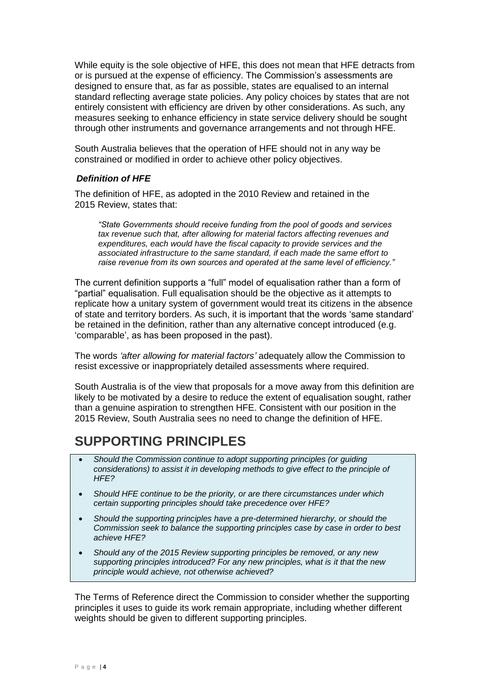While equity is the sole objective of HFE, this does not mean that HFE detracts from or is pursued at the expense of efficiency. The Commission's assessments are designed to ensure that, as far as possible, states are equalised to an internal standard reflecting average state policies. Any policy choices by states that are not entirely consistent with efficiency are driven by other considerations. As such, any measures seeking to enhance efficiency in state service delivery should be sought through other instruments and governance arrangements and not through HFE.

South Australia believes that the operation of HFE should not in any way be constrained or modified in order to achieve other policy objectives.

#### *Definition of HFE*

The definition of HFE, as adopted in the 2010 Review and retained in the 2015 Review, states that:

*"State Governments should receive funding from the pool of goods and services tax revenue such that, after allowing for material factors affecting revenues and expenditures, each would have the fiscal capacity to provide services and the associated infrastructure to the same standard, if each made the same effort to raise revenue from its own sources and operated at the same level of efficiency."*

The current definition supports a "full" model of equalisation rather than a form of "partial" equalisation. Full equalisation should be the objective as it attempts to replicate how a unitary system of government would treat its citizens in the absence of state and territory borders. As such, it is important that the words 'same standard' be retained in the definition, rather than any alternative concept introduced (e.g. 'comparable', as has been proposed in the past).

The words *'after allowing for material factors'* adequately allow the Commission to resist excessive or inappropriately detailed assessments where required.

South Australia is of the view that proposals for a move away from this definition are likely to be motivated by a desire to reduce the extent of equalisation sought, rather than a genuine aspiration to strengthen HFE. Consistent with our position in the 2015 Review, South Australia sees no need to change the definition of HFE.

### **SUPPORTING PRINCIPLES**

- *Should the Commission continue to adopt supporting principles (or guiding considerations) to assist it in developing methods to give effect to the principle of HFE?*
- *Should HFE continue to be the priority, or are there circumstances under which certain supporting principles should take precedence over HFE?*
- *Should the supporting principles have a pre-determined hierarchy, or should the Commission seek to balance the supporting principles case by case in order to best achieve HFE?*
- *Should any of the 2015 Review supporting principles be removed, or any new supporting principles introduced? For any new principles, what is it that the new principle would achieve, not otherwise achieved?*

The Terms of Reference direct the Commission to consider whether the supporting principles it uses to guide its work remain appropriate, including whether different weights should be given to different supporting principles.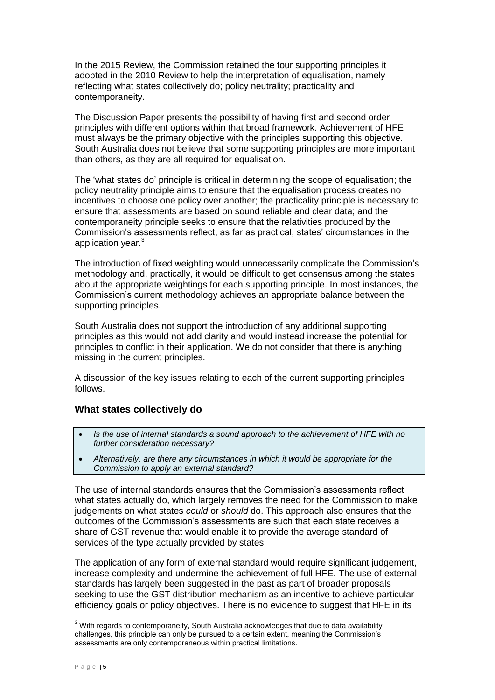In the 2015 Review, the Commission retained the four supporting principles it adopted in the 2010 Review to help the interpretation of equalisation, namely reflecting what states collectively do; policy neutrality; practicality and contemporaneity.

The Discussion Paper presents the possibility of having first and second order principles with different options within that broad framework. Achievement of HFE must always be the primary objective with the principles supporting this objective. South Australia does not believe that some supporting principles are more important than others, as they are all required for equalisation.

The 'what states do' principle is critical in determining the scope of equalisation; the policy neutrality principle aims to ensure that the equalisation process creates no incentives to choose one policy over another; the practicality principle is necessary to ensure that assessments are based on sound reliable and clear data; and the contemporaneity principle seeks to ensure that the relativities produced by the Commission's assessments reflect, as far as practical, states' circumstances in the application year. 3

The introduction of fixed weighting would unnecessarily complicate the Commission's methodology and, practically, it would be difficult to get consensus among the states about the appropriate weightings for each supporting principle. In most instances, the Commission's current methodology achieves an appropriate balance between the supporting principles.

South Australia does not support the introduction of any additional supporting principles as this would not add clarity and would instead increase the potential for principles to conflict in their application. We do not consider that there is anything missing in the current principles.

A discussion of the key issues relating to each of the current supporting principles follows.

### **What states collectively do**

- *Is the use of internal standards a sound approach to the achievement of HFE with no further consideration necessary?*
- *Alternatively, are there any circumstances in which it would be appropriate for the Commission to apply an external standard?*

The use of internal standards ensures that the Commission's assessments reflect what states actually do, which largely removes the need for the Commission to make judgements on what states *could* or *should* do. This approach also ensures that the outcomes of the Commission's assessments are such that each state receives a share of GST revenue that would enable it to provide the average standard of services of the type actually provided by states.

The application of any form of external standard would require significant judgement, increase complexity and undermine the achievement of full HFE. The use of external standards has largely been suggested in the past as part of broader proposals seeking to use the GST distribution mechanism as an incentive to achieve particular efficiency goals or policy objectives. There is no evidence to suggest that HFE in its

j

 $3$  With regards to contemporaneity, South Australia acknowledges that due to data availability challenges, this principle can only be pursued to a certain extent, meaning the Commission's assessments are only contemporaneous within practical limitations.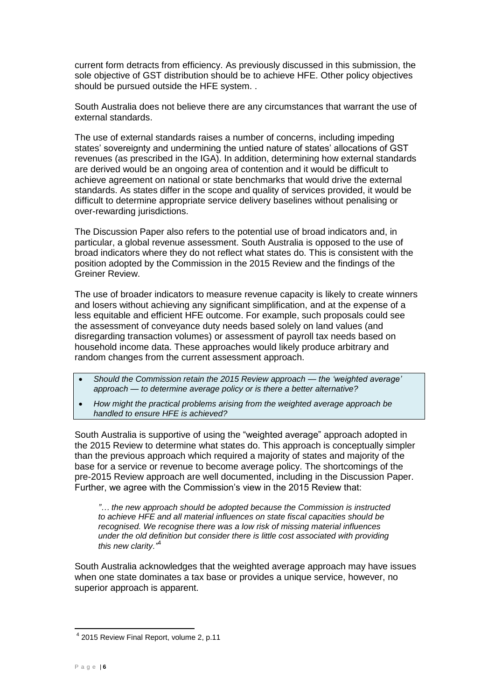current form detracts from efficiency. As previously discussed in this submission, the sole objective of GST distribution should be to achieve HFE. Other policy objectives should be pursued outside the HFE system. .

South Australia does not believe there are any circumstances that warrant the use of external standards.

The use of external standards raises a number of concerns, including impeding states' sovereignty and undermining the untied nature of states' allocations of GST revenues (as prescribed in the IGA). In addition, determining how external standards are derived would be an ongoing area of contention and it would be difficult to achieve agreement on national or state benchmarks that would drive the external standards. As states differ in the scope and quality of services provided, it would be difficult to determine appropriate service delivery baselines without penalising or over-rewarding jurisdictions.

The Discussion Paper also refers to the potential use of broad indicators and, in particular, a global revenue assessment. South Australia is opposed to the use of broad indicators where they do not reflect what states do. This is consistent with the position adopted by the Commission in the 2015 Review and the findings of the Greiner Review.

The use of broader indicators to measure revenue capacity is likely to create winners and losers without achieving any significant simplification, and at the expense of a less equitable and efficient HFE outcome. For example, such proposals could see the assessment of conveyance duty needs based solely on land values (and disregarding transaction volumes) or assessment of payroll tax needs based on household income data. These approaches would likely produce arbitrary and random changes from the current assessment approach.

- *Should the Commission retain the 2015 Review approach — the 'weighted average' approach — to determine average policy or is there a better alternative?*
- *How might the practical problems arising from the weighted average approach be handled to ensure HFE is achieved?*

South Australia is supportive of using the "weighted average" approach adopted in the 2015 Review to determine what states do. This approach is conceptually simpler than the previous approach which required a majority of states and majority of the base for a service or revenue to become average policy. The shortcomings of the pre-2015 Review approach are well documented, including in the Discussion Paper. Further, we agree with the Commission's view in the 2015 Review that:

*"… the new approach should be adopted because the Commission is instructed to achieve HFE and all material influences on state fiscal capacities should be recognised. We recognise there was a low risk of missing material influences under the old definition but consider there is little cost associated with providing this new clarity."*<sup>4</sup>

South Australia acknowledges that the weighted average approach may have issues when one state dominates a tax base or provides a unique service, however, no superior approach is apparent.

<sup>&</sup>lt;sup>4</sup> 2015 Review Final Report, volume 2, p.11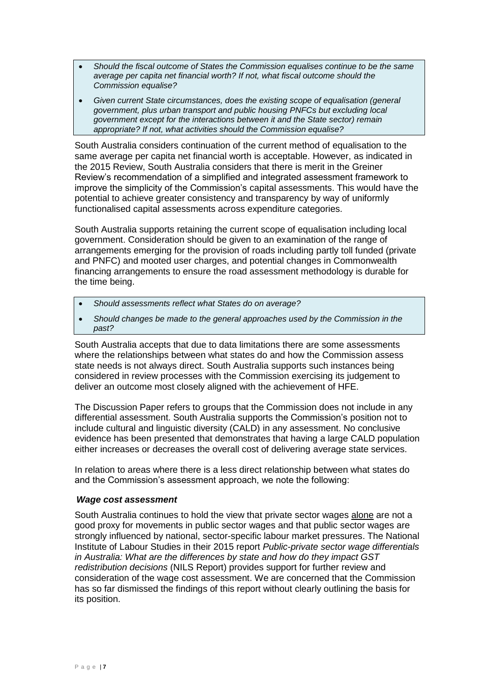- *Should the fiscal outcome of States the Commission equalises continue to be the same average per capita net financial worth? If not, what fiscal outcome should the Commission equalise?*
- *Given current State circumstances, does the existing scope of equalisation (general government, plus urban transport and public housing PNFCs but excluding local government except for the interactions between it and the State sector) remain appropriate? If not, what activities should the Commission equalise?*

South Australia considers continuation of the current method of equalisation to the same average per capita net financial worth is acceptable. However, as indicated in the 2015 Review, South Australia considers that there is merit in the Greiner Review's recommendation of a simplified and integrated assessment framework to improve the simplicity of the Commission's capital assessments. This would have the potential to achieve greater consistency and transparency by way of uniformly functionalised capital assessments across expenditure categories.

South Australia supports retaining the current scope of equalisation including local government. Consideration should be given to an examination of the range of arrangements emerging for the provision of roads including partly toll funded (private and PNFC) and mooted user charges, and potential changes in Commonwealth financing arrangements to ensure the road assessment methodology is durable for the time being.

- *Should assessments reflect what States do on average?*
- *Should changes be made to the general approaches used by the Commission in the past?*

South Australia accepts that due to data limitations there are some assessments where the relationships between what states do and how the Commission assess state needs is not always direct. South Australia supports such instances being considered in review processes with the Commission exercising its judgement to deliver an outcome most closely aligned with the achievement of HFE.

The Discussion Paper refers to groups that the Commission does not include in any differential assessment. South Australia supports the Commission's position not to include cultural and linguistic diversity (CALD) in any assessment. No conclusive evidence has been presented that demonstrates that having a large CALD population either increases or decreases the overall cost of delivering average state services.

In relation to areas where there is a less direct relationship between what states do and the Commission's assessment approach, we note the following:

#### *Wage cost assessment*

South Australia continues to hold the view that private sector wages alone are not a good proxy for movements in public sector wages and that public sector wages are strongly influenced by national, sector-specific labour market pressures. The National Institute of Labour Studies in their 2015 report *Public-private sector wage differentials in Australia: What are the differences by state and how do they impact GST redistribution decisions* (NILS Report) provides support for further review and consideration of the wage cost assessment. We are concerned that the Commission has so far dismissed the findings of this report without clearly outlining the basis for its position.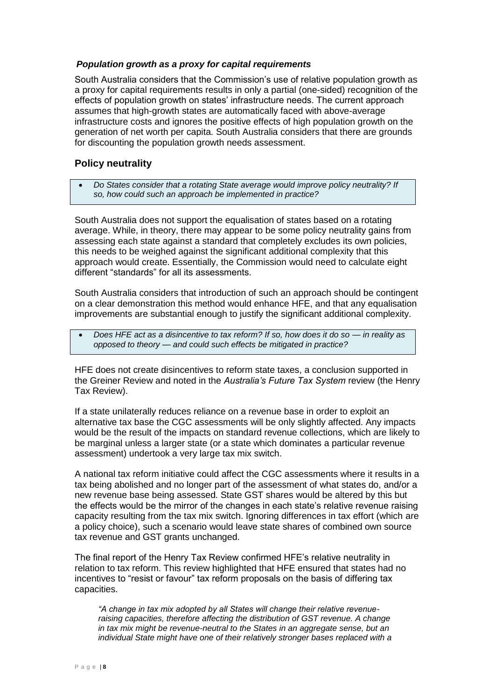### *Population growth as a proxy for capital requirements*

South Australia considers that the Commission's use of relative population growth as a proxy for capital requirements results in only a partial (one-sided) recognition of the effects of population growth on states' infrastructure needs. The current approach assumes that high-growth states are automatically faced with above-average infrastructure costs and ignores the positive effects of high population growth on the generation of net worth per capita. South Australia considers that there are grounds for discounting the population growth needs assessment.

### **Policy neutrality**

 *Do States consider that a rotating State average would improve policy neutrality? If so, how could such an approach be implemented in practice?*

South Australia does not support the equalisation of states based on a rotating average. While, in theory, there may appear to be some policy neutrality gains from assessing each state against a standard that completely excludes its own policies, this needs to be weighed against the significant additional complexity that this approach would create. Essentially, the Commission would need to calculate eight different "standards" for all its assessments.

South Australia considers that introduction of such an approach should be contingent on a clear demonstration this method would enhance HFE, and that any equalisation improvements are substantial enough to justify the significant additional complexity.

 *Does HFE act as a disincentive to tax reform? If so, how does it do so — in reality as opposed to theory — and could such effects be mitigated in practice?*

HFE does not create disincentives to reform state taxes, a conclusion supported in the Greiner Review and noted in the *Australia's Future Tax System* review (the Henry Tax Review).

If a state unilaterally reduces reliance on a revenue base in order to exploit an alternative tax base the CGC assessments will be only slightly affected. Any impacts would be the result of the impacts on standard revenue collections, which are likely to be marginal unless a larger state (or a state which dominates a particular revenue assessment) undertook a very large tax mix switch.

A national tax reform initiative could affect the CGC assessments where it results in a tax being abolished and no longer part of the assessment of what states do, and/or a new revenue base being assessed. State GST shares would be altered by this but the effects would be the mirror of the changes in each state's relative revenue raising capacity resulting from the tax mix switch. Ignoring differences in tax effort (which are a policy choice), such a scenario would leave state shares of combined own source tax revenue and GST grants unchanged.

The final report of the Henry Tax Review confirmed HFE's relative neutrality in relation to tax reform. This review highlighted that HFE ensured that states had no incentives to "resist or favour" tax reform proposals on the basis of differing tax capacities.

*"A change in tax mix adopted by all States will change their relative revenueraising capacities, therefore affecting the distribution of GST revenue. A change in tax mix might be revenue-neutral to the States in an aggregate sense, but an individual State might have one of their relatively stronger bases replaced with a*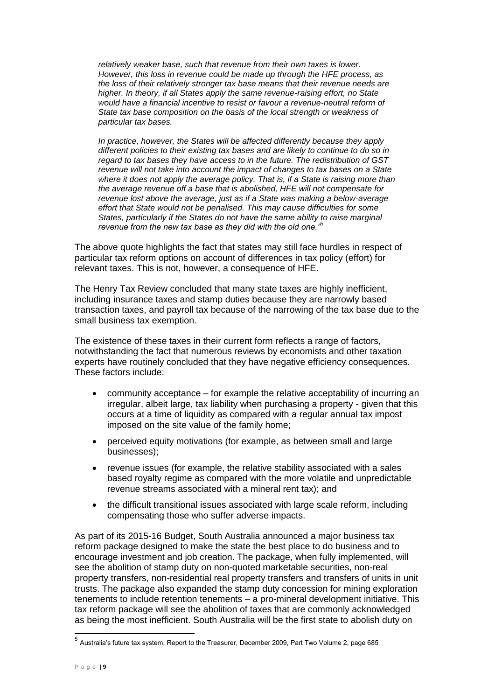*relatively weaker base, such that revenue from their own taxes is lower. However, this loss in revenue could be made up through the HFE process, as the loss of their relatively stronger tax base means that their revenue needs are higher. In theory, if all States apply the same revenue-raising effort, no State*  would have a financial incentive to resist or favour a revenue-neutral reform of *State tax base composition on the basis of the local strength or weakness of particular tax bases.*

*In practice, however, the States will be affected differently because they apply different policies to their existing tax bases and are likely to continue to do so in regard to tax bases they have access to in the future. The redistribution of GST revenue will not take into account the impact of changes to tax bases on a State where it does not apply the average policy. That is, if a State is raising more than the average revenue off a base that is abolished, HFE will not compensate for revenue lost above the average, just as if a State was making a below-average effort that State would not be penalised. This may cause difficulties for some States, particularly if the States do not have the same ability to raise marginal revenue from the new tax base as they did with the old one."*<sup>5</sup>

The above quote highlights the fact that states may still face hurdles in respect of particular tax reform options on account of differences in tax policy (effort) for relevant taxes. This is not, however, a consequence of HFE.

The Henry Tax Review concluded that many state taxes are highly inefficient, including insurance taxes and stamp duties because they are narrowly based transaction taxes, and payroll tax because of the narrowing of the tax base due to the small business tax exemption.

The existence of these taxes in their current form reflects a range of factors, notwithstanding the fact that numerous reviews by economists and other taxation experts have routinely concluded that they have negative efficiency consequences. These factors include:

- community acceptance for example the relative acceptability of incurring an irregular, albeit large, tax liability when purchasing a property - given that this occurs at a time of liquidity as compared with a regular annual tax impost imposed on the site value of the family home;
- perceived equity motivations (for example, as between small and large businesses);
- revenue issues (for example, the relative stability associated with a sales based royalty regime as compared with the more volatile and unpredictable revenue streams associated with a mineral rent tax); and
- the difficult transitional issues associated with large scale reform, including compensating those who suffer adverse impacts.

As part of its 2015-16 Budget, South Australia announced a major business tax reform package designed to make the state the best place to do business and to encourage investment and job creation. The package, when fully implemented, will see the abolition of stamp duty on non-quoted marketable securities, non-real property transfers, non-residential real property transfers and transfers of units in unit trusts. The package also expanded the stamp duty concession for mining exploration tenements to include retention tenements – a pro-mineral development initiative. This tax reform package will see the abolition of taxes that are commonly acknowledged as being the most inefficient. South Australia will be the first state to abolish duty on

 5 Australia's future tax system, Report to the Treasurer, December 2009, Part Two Volume 2, page 685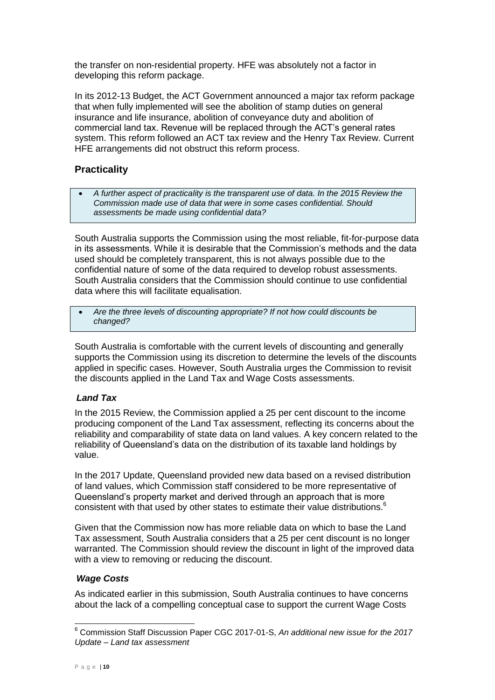the transfer on non-residential property. HFE was absolutely not a factor in developing this reform package.

In its 2012-13 Budget, the ACT Government announced a major tax reform package that when fully implemented will see the abolition of stamp duties on general insurance and life insurance, abolition of conveyance duty and abolition of commercial land tax. Revenue will be replaced through the ACT's general rates system. This reform followed an ACT tax review and the Henry Tax Review. Current HFE arrangements did not obstruct this reform process.

### **Practicality**

 *A further aspect of practicality is the transparent use of data. In the 2015 Review the Commission made use of data that were in some cases confidential. Should assessments be made using confidential data?*

South Australia supports the Commission using the most reliable, fit-for-purpose data in its assessments. While it is desirable that the Commission's methods and the data used should be completely transparent, this is not always possible due to the confidential nature of some of the data required to develop robust assessments. South Australia considers that the Commission should continue to use confidential data where this will facilitate equalisation.

 *Are the three levels of discounting appropriate? If not how could discounts be changed?*

South Australia is comfortable with the current levels of discounting and generally supports the Commission using its discretion to determine the levels of the discounts applied in specific cases. However, South Australia urges the Commission to revisit the discounts applied in the Land Tax and Wage Costs assessments.

### *Land Tax*

In the 2015 Review, the Commission applied a 25 per cent discount to the income producing component of the Land Tax assessment, reflecting its concerns about the reliability and comparability of state data on land values. A key concern related to the reliability of Queensland's data on the distribution of its taxable land holdings by value.

In the 2017 Update, Queensland provided new data based on a revised distribution of land values, which Commission staff considered to be more representative of Queensland's property market and derived through an approach that is more consistent with that used by other states to estimate their value distributions.<sup>6</sup>

Given that the Commission now has more reliable data on which to base the Land Tax assessment, South Australia considers that a 25 per cent discount is no longer warranted. The Commission should review the discount in light of the improved data with a view to removing or reducing the discount.

### *Wage Costs*

As indicated earlier in this submission, South Australia continues to have concerns about the lack of a compelling conceptual case to support the current Wage Costs

j <sup>6</sup> Commission Staff Discussion Paper CGC 2017-01-S, *An additional new issue for the 2017 Update – Land tax assessment*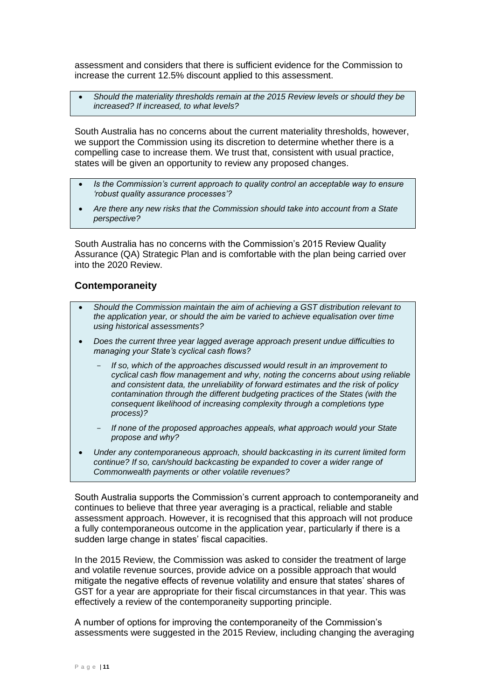assessment and considers that there is sufficient evidence for the Commission to increase the current 12.5% discount applied to this assessment.

 *Should the materiality thresholds remain at the 2015 Review levels or should they be increased? If increased, to what levels?*

South Australia has no concerns about the current materiality thresholds, however, we support the Commission using its discretion to determine whether there is a compelling case to increase them. We trust that, consistent with usual practice, states will be given an opportunity to review any proposed changes.

- *Is the Commission's current approach to quality control an acceptable way to ensure 'robust quality assurance processes'?*
- *Are there any new risks that the Commission should take into account from a State perspective?*

South Australia has no concerns with the Commission's 2015 Review Quality Assurance (QA) Strategic Plan and is comfortable with the plan being carried over into the 2020 Review.

#### **Contemporaneity**

- *Should the Commission maintain the aim of achieving a GST distribution relevant to the application year, or should the aim be varied to achieve equalisation over time using historical assessments?*
- *Does the current three year lagged average approach present undue difficulties to managing your State's cyclical cash flows?*
	- If so, which of the approaches discussed would result in an improvement to *cyclical cash flow management and why, noting the concerns about using reliable and consistent data, the unreliability of forward estimates and the risk of policy contamination through the different budgeting practices of the States (with the consequent likelihood of increasing complexity through a completions type process)?*
	- *If none of the proposed approaches appeals, what approach would your State propose and why?*
- *Under any contemporaneous approach, should backcasting in its current limited form continue? If so, can/should backcasting be expanded to cover a wider range of Commonwealth payments or other volatile revenues?*

South Australia supports the Commission's current approach to contemporaneity and continues to believe that three year averaging is a practical, reliable and stable assessment approach. However, it is recognised that this approach will not produce a fully contemporaneous outcome in the application year, particularly if there is a sudden large change in states' fiscal capacities.

In the 2015 Review, the Commission was asked to consider the treatment of large and volatile revenue sources, provide advice on a possible approach that would mitigate the negative effects of revenue volatility and ensure that states' shares of GST for a year are appropriate for their fiscal circumstances in that year. This was effectively a review of the contemporaneity supporting principle.

A number of options for improving the contemporaneity of the Commission's assessments were suggested in the 2015 Review, including changing the averaging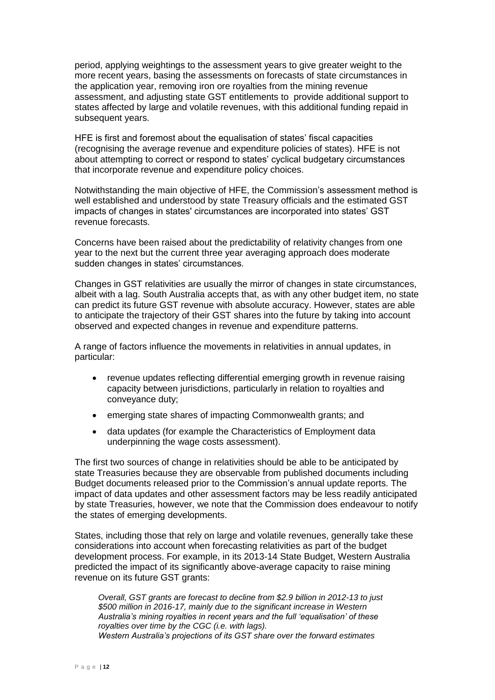period, applying weightings to the assessment years to give greater weight to the more recent years, basing the assessments on forecasts of state circumstances in the application year, removing iron ore royalties from the mining revenue assessment, and adjusting state GST entitlements to provide additional support to states affected by large and volatile revenues, with this additional funding repaid in subsequent years.

HFE is first and foremost about the equalisation of states' fiscal capacities (recognising the average revenue and expenditure policies of states). HFE is not about attempting to correct or respond to states' cyclical budgetary circumstances that incorporate revenue and expenditure policy choices.

Notwithstanding the main objective of HFE, the Commission's assessment method is well established and understood by state Treasury officials and the estimated GST impacts of changes in states' circumstances are incorporated into states' GST revenue forecasts.

Concerns have been raised about the predictability of relativity changes from one year to the next but the current three year averaging approach does moderate sudden changes in states' circumstances.

Changes in GST relativities are usually the mirror of changes in state circumstances, albeit with a lag. South Australia accepts that, as with any other budget item, no state can predict its future GST revenue with absolute accuracy. However, states are able to anticipate the trajectory of their GST shares into the future by taking into account observed and expected changes in revenue and expenditure patterns.

A range of factors influence the movements in relativities in annual updates, in particular:

- revenue updates reflecting differential emerging growth in revenue raising capacity between jurisdictions, particularly in relation to royalties and conveyance duty;
- emerging state shares of impacting Commonwealth grants; and
- data updates (for example the Characteristics of Employment data underpinning the wage costs assessment).

The first two sources of change in relativities should be able to be anticipated by state Treasuries because they are observable from published documents including Budget documents released prior to the Commission's annual update reports. The impact of data updates and other assessment factors may be less readily anticipated by state Treasuries, however, we note that the Commission does endeavour to notify the states of emerging developments.

States, including those that rely on large and volatile revenues, generally take these considerations into account when forecasting relativities as part of the budget development process. For example, in its 2013-14 State Budget, Western Australia predicted the impact of its significantly above-average capacity to raise mining revenue on its future GST grants:

*Overall, GST grants are forecast to decline from \$2.9 billion in 2012-13 to just \$500 million in 2016-17, mainly due to the significant increase in Western Australia's mining royalties in recent years and the full 'equalisation' of these royalties over time by the CGC (i.e. with lags). Western Australia's projections of its GST share over the forward estimates*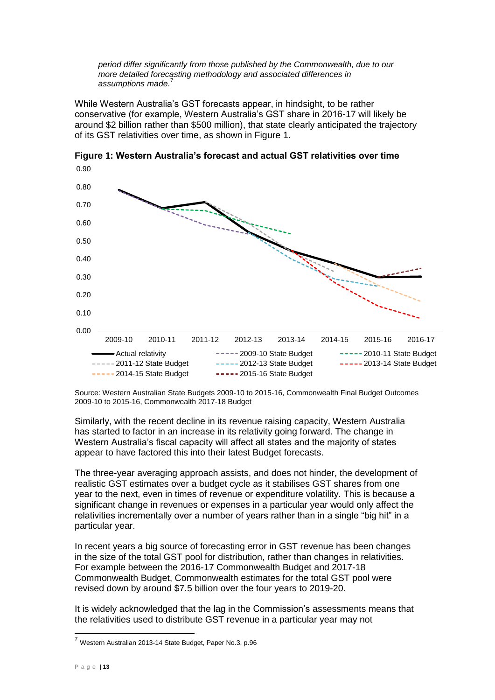*period differ significantly from those published by the Commonwealth, due to our more detailed forecasting methodology and associated differences in assumptions made.* 7

While Western Australia's GST forecasts appear, in hindsight, to be rather conservative (for example, Western Australia's GST share in 2016-17 will likely be around \$2 billion rather than \$500 million), that state clearly anticipated the trajectory of its GST relativities over time, as shown in Figure 1.



**Figure 1: Western Australia's forecast and actual GST relativities over time**

Source: Western Australian State Budgets 2009-10 to 2015-16, Commonwealth Final Budget Outcomes 2009-10 to 2015-16, Commonwealth 2017-18 Budget

Similarly, with the recent decline in its revenue raising capacity, Western Australia has started to factor in an increase in its relativity going forward. The change in Western Australia's fiscal capacity will affect all states and the majority of states appear to have factored this into their latest Budget forecasts.

The three-year averaging approach assists, and does not hinder, the development of realistic GST estimates over a budget cycle as it stabilises GST shares from one year to the next, even in times of revenue or expenditure volatility. This is because a significant change in revenues or expenses in a particular year would only affect the relativities incrementally over a number of years rather than in a single "big hit" in a particular year.

In recent years a big source of forecasting error in GST revenue has been changes in the size of the total GST pool for distribution, rather than changes in relativities. For example between the 2016-17 Commonwealth Budget and 2017-18 Commonwealth Budget, Commonwealth estimates for the total GST pool were revised down by around \$7.5 billion over the four years to 2019-20.

It is widely acknowledged that the lag in the Commission's assessments means that the relativities used to distribute GST revenue in a particular year may not

<sup>7</sup> Western Australian 2013-14 State Budget, Paper No.3, p.96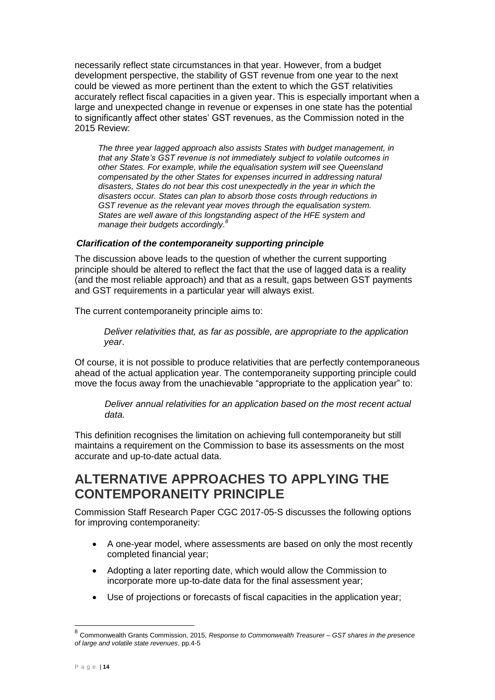necessarily reflect state circumstances in that year. However, from a budget development perspective, the stability of GST revenue from one year to the next could be viewed as more pertinent than the extent to which the GST relativities accurately reflect fiscal capacities in a given year. This is especially important when a large and unexpected change in revenue or expenses in one state has the potential to significantly affect other states' GST revenues, as the Commission noted in the 2015 Review:

*The three year lagged approach also assists States with budget management, in that any State's GST revenue is not immediately subject to volatile outcomes in other States. For example, while the equalisation system will see Queensland compensated by the other States for expenses incurred in addressing natural disasters, States do not bear this cost unexpectedly in the year in which the disasters occur. States can plan to absorb those costs through reductions in GST revenue as the relevant year moves through the equalisation system. States are well aware of this longstanding aspect of the HFE system and manage their budgets accordingly. 8*

### *Clarification of the contemporaneity supporting principle*

The discussion above leads to the question of whether the current supporting principle should be altered to reflect the fact that the use of lagged data is a reality (and the most reliable approach) and that as a result, gaps between GST payments and GST requirements in a particular year will always exist.

The current contemporaneity principle aims to:

*Deliver relativities that, as far as possible, are appropriate to the application year*.

Of course, it is not possible to produce relativities that are perfectly contemporaneous ahead of the actual application year. The contemporaneity supporting principle could move the focus away from the unachievable "appropriate to the application year" to:

*Deliver annual relativities for an application based on the most recent actual data.* 

This definition recognises the limitation on achieving full contemporaneity but still maintains a requirement on the Commission to base its assessments on the most accurate and up-to-date actual data.

### **ALTERNATIVE APPROACHES TO APPLYING THE CONTEMPORANEITY PRINCIPLE**

Commission Staff Research Paper CGC 2017-05-S discusses the following options for improving contemporaneity:

- A one-year model, where assessments are based on only the most recently completed financial year;
- Adopting a later reporting date, which would allow the Commission to incorporate more up-to-date data for the final assessment year;
- Use of projections or forecasts of fiscal capacities in the application year;

 8 Commonwealth Grants Commission, 2015, *Response to Commonwealth Treasurer – GST shares in the presence of large and volatile state revenues*, pp.4-5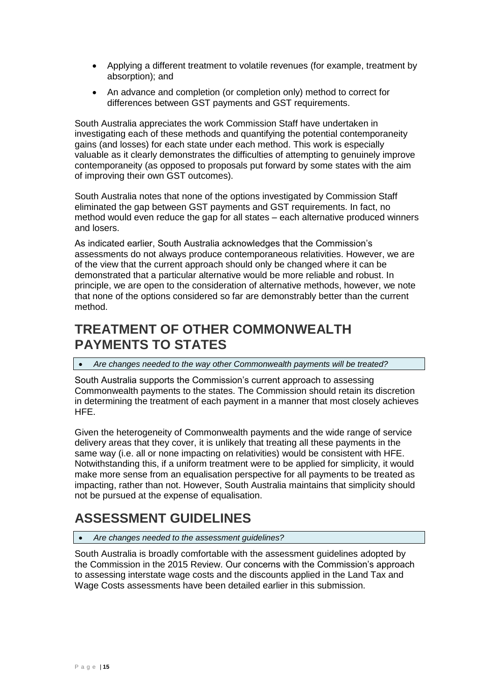- Applying a different treatment to volatile revenues (for example, treatment by absorption); and
- An advance and completion (or completion only) method to correct for differences between GST payments and GST requirements.

South Australia appreciates the work Commission Staff have undertaken in investigating each of these methods and quantifying the potential contemporaneity gains (and losses) for each state under each method. This work is especially valuable as it clearly demonstrates the difficulties of attempting to genuinely improve contemporaneity (as opposed to proposals put forward by some states with the aim of improving their own GST outcomes).

South Australia notes that none of the options investigated by Commission Staff eliminated the gap between GST payments and GST requirements. In fact, no method would even reduce the gap for all states – each alternative produced winners and losers.

As indicated earlier, South Australia acknowledges that the Commission's assessments do not always produce contemporaneous relativities. However, we are of the view that the current approach should only be changed where it can be demonstrated that a particular alternative would be more reliable and robust. In principle, we are open to the consideration of alternative methods, however, we note that none of the options considered so far are demonstrably better than the current method.

# **TREATMENT OF OTHER COMMONWEALTH PAYMENTS TO STATES**

*Are changes needed to the way other Commonwealth payments will be treated?*

South Australia supports the Commission's current approach to assessing Commonwealth payments to the states. The Commission should retain its discretion in determining the treatment of each payment in a manner that most closely achieves HFE.

Given the heterogeneity of Commonwealth payments and the wide range of service delivery areas that they cover, it is unlikely that treating all these payments in the same way (i.e. all or none impacting on relativities) would be consistent with HFE. Notwithstanding this, if a uniform treatment were to be applied for simplicity, it would make more sense from an equalisation perspective for all payments to be treated as impacting, rather than not. However, South Australia maintains that simplicity should not be pursued at the expense of equalisation.

# **ASSESSMENT GUIDELINES**

#### *Are changes needed to the assessment guidelines?*

South Australia is broadly comfortable with the assessment guidelines adopted by the Commission in the 2015 Review. Our concerns with the Commission's approach to assessing interstate wage costs and the discounts applied in the Land Tax and Wage Costs assessments have been detailed earlier in this submission.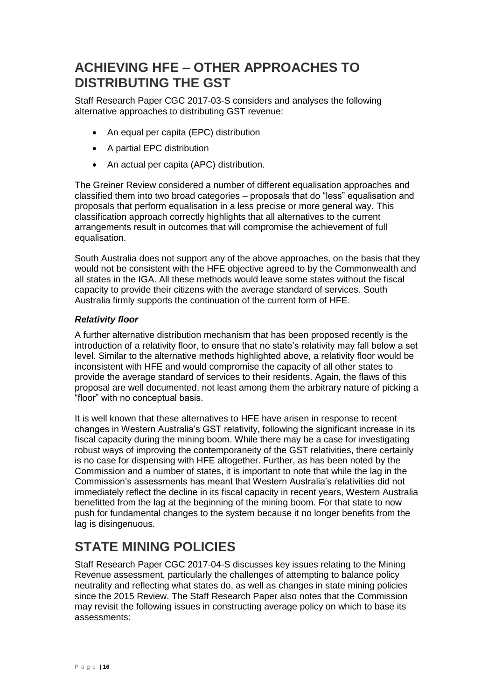## **ACHIEVING HFE – OTHER APPROACHES TO DISTRIBUTING THE GST**

Staff Research Paper CGC 2017-03-S considers and analyses the following alternative approaches to distributing GST revenue:

- An equal per capita (EPC) distribution
- A partial EPC distribution
- An actual per capita (APC) distribution.

The Greiner Review considered a number of different equalisation approaches and classified them into two broad categories – proposals that do "less" equalisation and proposals that perform equalisation in a less precise or more general way. This classification approach correctly highlights that all alternatives to the current arrangements result in outcomes that will compromise the achievement of full equalisation.

South Australia does not support any of the above approaches, on the basis that they would not be consistent with the HFE objective agreed to by the Commonwealth and all states in the IGA. All these methods would leave some states without the fiscal capacity to provide their citizens with the average standard of services. South Australia firmly supports the continuation of the current form of HFE.

### *Relativity floor*

A further alternative distribution mechanism that has been proposed recently is the introduction of a relativity floor, to ensure that no state's relativity may fall below a set level. Similar to the alternative methods highlighted above, a relativity floor would be inconsistent with HFE and would compromise the capacity of all other states to provide the average standard of services to their residents. Again, the flaws of this proposal are well documented, not least among them the arbitrary nature of picking a "floor" with no conceptual basis.

It is well known that these alternatives to HFE have arisen in response to recent changes in Western Australia's GST relativity, following the significant increase in its fiscal capacity during the mining boom. While there may be a case for investigating robust ways of improving the contemporaneity of the GST relativities, there certainly is no case for dispensing with HFE altogether. Further, as has been noted by the Commission and a number of states, it is important to note that while the lag in the Commission's assessments has meant that Western Australia's relativities did not immediately reflect the decline in its fiscal capacity in recent years, Western Australia benefitted from the lag at the beginning of the mining boom. For that state to now push for fundamental changes to the system because it no longer benefits from the lag is disingenuous.

# **STATE MINING POLICIES**

Staff Research Paper CGC 2017-04-S discusses key issues relating to the Mining Revenue assessment, particularly the challenges of attempting to balance policy neutrality and reflecting what states do, as well as changes in state mining policies since the 2015 Review. The Staff Research Paper also notes that the Commission may revisit the following issues in constructing average policy on which to base its assessments: